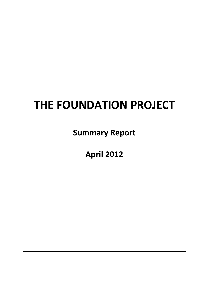# **THE FOUNDATION PROJECT**

**Summary Report**

**April 2012**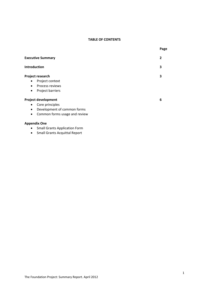## **TABLE OF CONTENTS**

|                                            | Page |
|--------------------------------------------|------|
| <b>Executive Summary</b><br>$\mathbf{2}$   |      |
| <b>Introduction</b><br>3                   |      |
| Project research<br>3                      |      |
| Project context<br>$\bullet$               |      |
| Process reviews<br>$\bullet$               |      |
| Project barriers<br>$\bullet$              |      |
| <b>Project development</b><br>6            |      |
| Core principles<br>$\bullet$               |      |
| Development of common forms<br>$\bullet$   |      |
| Common forms usage and review<br>$\bullet$ |      |

## **Appendix One**

- Small Grants Application Form
- Small Grants Acquittal Report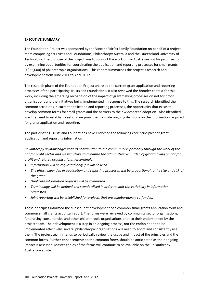#### **EXECUTIVE SUMMARY**

The Foundation Project was sponsored by the Vincent Fairfax Family Foundation on behalf of a project team comprising six Trusts and Foundations, Philanthropy Australia and the Queensland University of Technology. The purpose of the project was to support the work of the Australian not for profit sector by examining opportunities for coordinating the application and reporting processes for small grants (<\$25,000) of philanthropic organisations. This report summarises the project's research and development from June 2011 to April 2012.

The research phase of the Foundation Project analysed the current grant application and reporting processes of the participating Trusts and Foundations. It also reviewed the broader context for this work, including the emerging recognition of the impact of grantmaking processes on not for profit organisations and the initiatives being implemented in response to this. The research identified the common attributes in current application and reporting processes, the opportunity that exists to develop common forms for small grants and the barriers to their widespread adoption. Also identified was the need to establish a set of core principles to guide ongoing decisions on the information required for grants application and reporting.

The participating Trusts and Foundations have endorsed the following core principles for grant application and reporting information:

*Philanthropy acknowledges that its contribution to the community is primarily through the work of the* not for profit sector and we will strive to minimise the administrative burden of grantmaking on not for *profit and related organisations. Accordingly:*

- *Information will be requested only if it will be used*
- *The effort expended in application and reporting processes will be proportional to the size and risk of the grant*
- *Duplicate information requests will be minimised*
- *Terminology will be defined and standardised in order to limit the variability in information requested*
- *Joint reporting will be established for projects that are collaboratively co‐funded.*

These principles informed the subsequent development of a common small grants application form and common small grants acquittal report. The forms were reviewed by community sector organisations, fundraising consultancies and other philanthropic organisations prior to their endorsement by the project team. Their development is a step in an ongoing process, not the endpoint and to be implemented effectively, several philanthropic organisations will need to adopt and consistently use them. The project team intends to periodically review the usage and impact of the principles and the common forms. Further enhancements to the common forms should be anticipated as their ongoing impact is assessed. Master copies of the forms will continue to be available on the Philanthropy Australia website.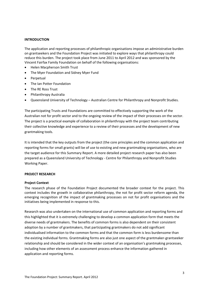## **INTRODUCTION**

The application and reporting processes of philanthropic organisations impose an administrative burden on grantseekers and the Foundation Project was initiated to explore ways that philanthropy could reduce this burden. The project took place from June 2011 to April 2012 and was sponsored by the Vincent Fairfax Family Foundation on behalf of the following organisations:

- Helen Macpherson Smith Trust
- The Myer Foundation and Sidney Myer Fund
- Perpetual
- The Ian Potter Foundation
- The RE Ross Trust
- Philanthropy Australia
- Queensland University of Technology Australian Centre for Philanthropy and Nonprofit Studies.

The participating Trusts and Foundations are committed to effectively supporting the work of the Australian not for profit sector and to the ongoing review of the impact of their processes on the sector. The project is a practical example of collaboration in philanthropy with the project team contributing their collective knowledge and experience to a review of their processes and the development of new grantmaking tools.

It is intended that the key outputs from the project (the core principles and the common application and reporting forms for small grants) will be of use to existing and new grantmaking organisations, who are the target audience for this Summary Report. A more detailed project research paper has also been prepared as a Queensland University of Technology ‐ Centre for Philanthropy and Nonprofit Studies Working Paper.

## **PROJECT RESEARCH**

#### **Project Context**

The research phase of the Foundation Project documented the broader context for the project. This context includes the growth in collaborative philanthropy, the not for profit sector reform agenda, the emerging recognition of the impact of grantmaking processes on not for profit organisations and the initiatives being implemented in response to this.

Research was also undertaken on the international use of common application and reporting forms and this highlighted that it is extremely challenging to develop a common application form that meets the diverse needs of grantmakers. The benefits of common forms is also dependent on their consistent adoption by a number of grantmakers, that participating grantmakers do not add significant individualised information to the common forms and that the common form is less burdensome than the existing individual forms. Grantmaking forms are also just one aspect of the grantmaker‐grantseeker relationship and should be considered in the wider context of an organisation's grantmaking processes, including how other elements of an assessment process enhance the information gathered in application and reporting forms.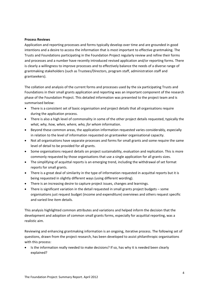#### **Process Reviews**

Application and reporting processes and forms typically develop over time and are grounded in good intentions and a desire to access the information that is most important to effective grantmaking. The Trusts and Foundations participating in the Foundation Project regularly review and refine their forms and processes and a number have recently introduced revised application and/or reporting forms. There is clearly a willingness to improve processes and to effectively balance the needs of a diverse range of grantmaking stakeholders (such as Trustees/Directors, program staff, administration staff and grantseekers).

The collation and analysis of the current forms and processes used by the six participating Trusts and Foundations in their small grants application and reporting was an important component of the research phase of the Foundation Project. This detailed information was presented to the project team and is summarised below:

- There is a consistent set of basic organisation and project details that all organisations require during the application process.
- There is also a high level of commonality in some of the other project details requested, typically the *what, why, how, when, where, who, for whom* information.
- Beyond these common areas, the application information requested varies considerably, especially in relation to the level of information requested on grantseeker organisational capacity.
- Not all organisations have separate processes and forms for small grants and some require the same level of detail to be provided for all grants.
- Some organisations request details on project sustainability, evaluation and replication. This is more commonly requested by those organisations that use a single application for all grants sizes.
- The simplifying of acquittal reports is an emerging trend, including the withdrawal of set format reports for small grants.
- There is a great deal of similarity in the type of information requested in acquittal reports but it is being requested in slightly different ways (using different wording).
- There is an increasing desire to capture project issues, changes and learnings.
- There is significant variation in the detail requested in small grants project budgets some organisations just request budget (income and expenditure) overviews and others request specific and varied line item details.

This analysis highlighted common attributes and variations and helped inform the decision that the development and adoption of common small grants forms, especially for acquittal reporting, was a realistic aim.

Reviewing and enhancing grantmaking information is an ongoing, iterative process. The following set of questions, drawn from the project research, has been developed to assist philanthropic organisations with this process:

• Is the information really needed to make decisions? If so, has why it is needed been clearly explained?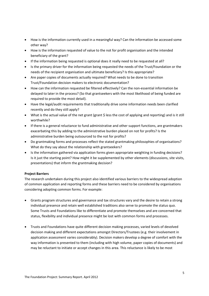- How is the information currently used in a meaningful way? Can the information be accessed some other way?
- How is the information requested of value to the not for profit organisation and the intended beneficiary of the grant?
- If the information being requested is optional does it really need to be requested at all?
- Is the primary driver for the information being requested the needs of the Trust/Foundation or the needs of the recipient organisation and ultimate beneficiary? Is this appropriate?
- Are paper copies of documents actually required? What needs to be done to transition Trust/Foundation decision makers to electronic documentation?
- How can the information requested be filtered effectively? Can the non-essential information be delayed to later in the process? (So that grantseekers with the most likelihood of being funded are required to provide the most detail).
- Have the legal/audit requirements that traditionally drive some information needs been clarified recently and do they still apply?
- What is the actual value of the net grant (grant \$ less the cost of applying and reporting) and is it still worthwhile?
- If there is a general reluctance to fund administrative and other support functions, are grantmakers exacerbating this by adding to the administrative burden placed on not for profits? Is the administrative burden being outsourced to the not for profits?
- Do grantmaking forms and processes reflect the stated grantmaking philosophies of organisations? What do they say about the relationship with grantseekers?
- Is the information gathered via application forms given appropriate weighting in funding decisions? Is it just the starting point? How might it be supplemented by other elements (discussions, site visits, presentations) that inform the grantmaking decision?

## **Project Barriers**

The research undertaken during this project also identified various barriers to the widespread adoption of common application and reporting forms and these barriers need to be considered by organisations considering adopting common forms. For example:

- Grants program structures and governance and tax structures vary and the desire to retain a strong individual presence and retain well established traditions also serve to promote the status quo. Some Trusts and Foundations like to differentiate and promote themselves and are concerned that status, flexibility and individual presence might be lost with common forms and processes.
- Trusts and Foundations have quite different decision making processes, varied levels of devolved decision making and different expectations amongst Directors/Trustees (e.g. their involvement in application assessment varies considerably). Decision makers develop a degree of comfort with the way information is presented to them (including with high volume, paper copies of documents) and may be reluctant to initiate or accept changes in this area. This reluctance is likely to be most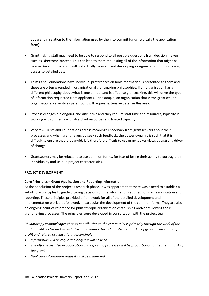apparent in relation to the information used by them to commit funds (typically the application form).

- Grantmaking staff may need to be able to respond to all possible questions from decision makers such as Directors/Trustees. This can lead to them requesting all of the information that might be needed (even if much of it will not actually be used) and developing a degree of comfort in having access to detailed data.
- Trusts and Foundations have individual preferences on how information is presented to them and these are often grounded in organisational grantmaking philosophies. If an organisation has a different philosophy about what is most important in effective grantmaking, this will drive the type of information requested from applicants. For example, an organisation that views grantseeker organisational capacity as paramount will request extensive detail in this area.
- Process changes are ongoing and disruptive and they require staff time and resources, typically in working environments with stretched resources and limited capacity.
- Very few Trusts and Foundations access meaningful feedback from grantseekers about their processes and when grantmakers do seek such feedback, the power dynamic is such that it is difficult to ensure that it is candid. It is therefore difficult to use grantseeker views as a strong driver of change.
- Grantseekers may be reluctant to use common forms, for fear of losing their ability to portray their individuality and unique project characteristics.

## **PROJECT DEVELOPMENT**

## **Core Principles – Grant Application and Reporting Information**

At the conclusion of the project's research phase, it was apparent that there was a need to establish a set of core principles to guide ongoing decisions on the information required for grants application and reporting. These principles provided a framework for all of the detailed development and implementation work that followed, in particular the development of the common forms. They are also an ongoing point of reference for philanthropic organisation establishing and/or reviewing their grantmaking processes. The principles were developed in consultation with the project team.

*Philanthropy acknowledges that its contribution to the community is primarily through the work of the* not for profit sector and we will strive to minimise the administrative burden of grantmaking on not for *profit and related organisations. Accordingly:*

- *Information will be requested only if it will be used*
- *The effort expended in application and reporting processes will be proportional to the size and risk of the grant*
- *Duplicate information requests will be minimised*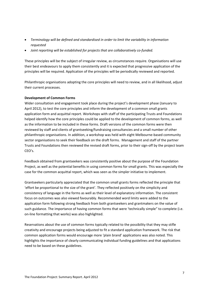- *Terminology will be defined and standardised in order to limit the variability in information requested*
- *Joint reporting will be established for projects that are collaboratively co‐funded.*

These principles will be the subject of irregular review, as circumstances require. Organisations will use their best endeavours to apply them consistently and it is expected that progressive application of the principles will be required. Application of the principles will be periodically reviewed and reported.

Philanthropic organisations adopting the core principles will need to review, and in all likelihood, adjust their current processes.

## **Development of Common Forms**

Wider consultation and engagement took place during the project's development phase (January to April 2012), to test the core principles and inform the development of a common small grants application form and acquittal report. Workshops with staff of the participating Trusts and Foundations helped identify how the core principles could be applied to the development of common forms, as well as the information to be included in these forms. Draft versions of the common forms were then reviewed by staff and clients of grantseeking/fundraising consultancies and a small number of other philanthropic organisations. In addition, a workshop was held with eight Melbourne‐based community sector organisations to seek their feedback on the draft forms. Management and staff of the partner Trusts and Foundations then reviewed the revised draft forms, prior to their sign‐off by the project team CEO's.

Feedback obtained from grantseekers was consistently positive about the purpose of the Foundation Project, as well as the potential benefits in using common forms for small grants. This was especially the case for the common acquittal report, which was seen as the simpler initiative to implement.

Grantseekers particularly appreciated that the common small grants forms reflected the principle that 'effort be proportional to the size of the grant'. They reflected positively on the simplicity and consistency of language in the forms as well as their level of explanatory information. The consistent focus on outcomes was also viewed favourably. Recommended word limits were added to the application form following strong feedback from both grantseekers and grantmakers on the value of such guidance. The importance of having common forms that were 'technically simple" to complete (i.e. on‐line formatting that works) was also highlighted.

Reservations about the use of common forms typically related to the possibility that they may stifle creativity and encourage projects being adjusted to fit a standard application framework. The risk that common application forms would encourage more 'plain brand' applications was also noted. This highlights the importance of clearly communicating individual funding guidelines and that applications need to be based on these guidelines.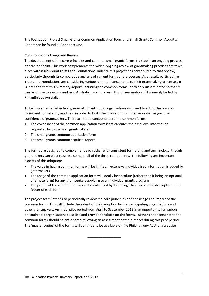The Foundation Project Small Grants Common Application Form and Small Grants Common Acquittal Report can be found at Appendix One.

## **Common Forms Usage and Review**

The development of the core principles and common small grants forms is a step in an ongoing process, not the endpoint. This work complements the wider, ongoing review of grantmaking practice that takes place within individual Trusts and Foundations. Indeed, this project has contributed to that review, particularly through its comparative analysis of current forms and processes. As a result, participating Trusts and Foundations are considering various other enhancements to their grantmaking processes. It is intended that this Summary Report (including the common forms) be widely disseminated so that it can be of use to existing and new Australian grantmakers. This dissemination will primarily be led by Philanthropy Australia.

To be implemented effectively, several philanthropic organisations will need to adopt the common forms and consistently use them in order to build the profile of this initiative as well as gain the confidence of grantseekers. There are three components to the common forms:

- 1. The cover sheet of the common application form (that captures the base level information requested by virtually all grantmakers)
- 2. The small grants common application form
- 3. The small grants common acquittal report.

The forms are designed to complement each other with consistent formatting and terminology, though grantmakers can elect to utilise some or all of the three components. The following are important aspects of this adoption:

- The value in having common forms will be limited if extensive individualised information is added by grantmakers
- The usage of the common application form will ideally be absolute (rather than it being an optional alternate form) for any grantseekers applying to an individual grants program
- The profile of the common forms can be enhanced by 'branding' their use via the descriptor in the footer of each form.

The project team intends to periodically review the core principles and the usage and impact of the common forms. This will include the extent of their adoption by the participating organisations and other grantmakers. An initial pilot period from April to September 2012 is an opportunity for various philanthropic organisations to utilise and provide feedback on the forms. Further enhancements to the common forms should be anticipated following an assessment of their impact during this pilot period. The 'master copies' of the forms will continue to be available on the Philanthropy Australia website.

\_\_\_\_\_\_\_\_\_\_\_\_\_\_\_\_\_\_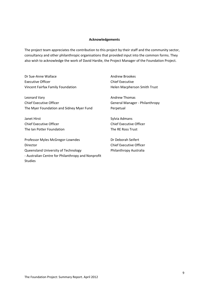#### **Acknowledgements**

The project team appreciates the contribution to this project by their staff and the community sector, consultancy and other philanthropic organisations that provided input into the common forms. They also wish to acknowledge the work of David Hardie, the Project Manager of the Foundation Project.

Dr Sue‐Anne Wallace Andrew Brookes Executive Officer **Executive** Chief Executive Vincent Fairfax Family Foundation **Bank Control Control Control Control Control Control Control Control Control** 

Leonard Vary **Bank Contract Contract Contract Contract Contract Contract Contract Contract Contract Contract Contract Contract Contract Contract Contract Contract Contract Contract Contract Contract Contract Contract Contr** Chief Executive Officer 
and the Chief Executive Officer 
Seneral Manager - Philanthropy

Chief Executive Officer The Myer Foundation and Sidney Myer Fund Perpetual

Janet Hirst **Internal Community** Contract Admans Chief Executive Officer Chief Executive Officer The Ian Potter Foundation 
The Ian Potter Foundation

Professor Myles McGregor-Lowndes Dr Deborah Seifert Director Chief Executive Officer Queensland University of Technology Philanthropy Australia ‐ Australian Centre for Philanthropy and Nonprofit Studies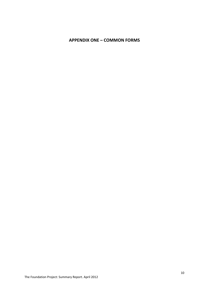# **APPENDIX ONE – COMMON FORMS**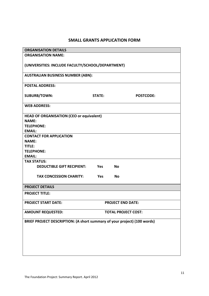# **SMALL GRANTS APPLICATION FORM**

| <b>ORGANISATION DETAILS</b>                                              |                          |                  |  |  |  |  |
|--------------------------------------------------------------------------|--------------------------|------------------|--|--|--|--|
| <b>ORGANISATION NAME:</b>                                                |                          |                  |  |  |  |  |
| (UNIVERSITIES: INCLUDE FACULTY/SCHOOL/DEPARTMENT)                        |                          |                  |  |  |  |  |
| <b>AUSTRALIAN BUSINESS NUMBER (ABN):</b>                                 |                          |                  |  |  |  |  |
| <b>POSTAL ADDRESS:</b>                                                   |                          |                  |  |  |  |  |
| <b>SUBURB/TOWN:</b>                                                      | <b>STATE:</b>            | <b>POSTCODE:</b> |  |  |  |  |
| <b>WEB ADDRESS:</b>                                                      |                          |                  |  |  |  |  |
| <b>HEAD OF ORGANISATION (CEO or equivalent)</b>                          |                          |                  |  |  |  |  |
| <b>NAMF:</b>                                                             |                          |                  |  |  |  |  |
| <b>TELEPHONE:</b>                                                        |                          |                  |  |  |  |  |
| <b>EMAIL:</b>                                                            |                          |                  |  |  |  |  |
| <b>CONTACT FOR APPLICATION</b>                                           |                          |                  |  |  |  |  |
| <b>NAME:</b>                                                             |                          |                  |  |  |  |  |
| TITLE:                                                                   |                          |                  |  |  |  |  |
| <b>TELEPHONE:</b>                                                        |                          |                  |  |  |  |  |
| <b>EMAIL:</b>                                                            |                          |                  |  |  |  |  |
| <b>TAX STATUS:</b>                                                       |                          |                  |  |  |  |  |
| <b>DEDUCTIBLE GIFT RECIPIENT:</b>                                        | <b>Yes</b>               | <b>No</b>        |  |  |  |  |
| <b>TAX CONCESSION CHARITY:</b>                                           | <b>Yes</b>               | <b>No</b>        |  |  |  |  |
| <b>PROJECT DETAILS</b>                                                   |                          |                  |  |  |  |  |
| <b>PROJECT TITLE:</b>                                                    |                          |                  |  |  |  |  |
| <b>PROJECT START DATE:</b>                                               | <b>PROJECT END DATE:</b> |                  |  |  |  |  |
| <b>AMOUNT REQUESTED:</b><br><b>TOTAL PROJECT COST:</b>                   |                          |                  |  |  |  |  |
| BRIEF PROJECT DESCRIPTION: (A short summary of your project) (100 words) |                          |                  |  |  |  |  |
|                                                                          |                          |                  |  |  |  |  |
|                                                                          |                          |                  |  |  |  |  |
|                                                                          |                          |                  |  |  |  |  |
|                                                                          |                          |                  |  |  |  |  |
|                                                                          |                          |                  |  |  |  |  |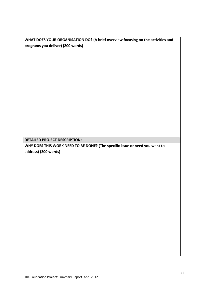**WHAT DOES YOUR ORGANISATION DO? (A brief overview focusing on the activities and programs you deliver) (200 words)** 

**DETAILED PROJECT DESCRIPTION:**

**WHY DOES THIS WORK NEED TO BE DONE? (The specific issue or need you want to address) (200 words)**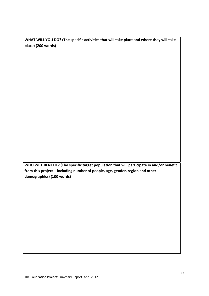**WHAT WILL YOU DO? (The specific activities that will take place and where they will take place) (200 words)**

**WHO WILL BENEFIT? (The specific target population that will participate in and/or benefit from this project – including number of people, age, gender, region and other demographics) (100 words)**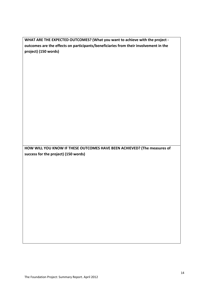**WHAT ARE THE EXPECTED OUTCOMES? (What you want to achieve with the project ‐ outcomes are the effects on participants/beneficiaries from their involvement in the project) (150 words)**

**HOW WILL YOU KNOW IF THESE OUTCOMES HAVE BEEN ACHIEVED? (The measures of success for the project) (150 words)**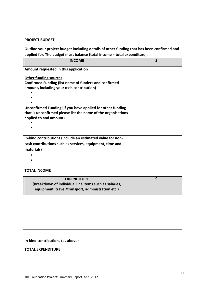# **PROJECT BUDGET**

**Outline your project budget including details of other funding that has been confirmed and applied for. The budget must balance (total income = total expenditure).** 

| <b>INCOME</b>                                                                                                                                         | \$ |
|-------------------------------------------------------------------------------------------------------------------------------------------------------|----|
| Amount requested in this application                                                                                                                  |    |
| <b>Other funding sources</b><br><b>Confirmed Funding (list name of funders and confirmed</b><br>amount, including your cash contribution)             |    |
| Unconfirmed Funding (if you have applied for other funding<br>that is unconfirmed please list the name of the organisations<br>applied to and amount) |    |
| In-kind contributions (include an estimated value for non-                                                                                            |    |
| cash contributions such as services, equipment, time and                                                                                              |    |
| materials)                                                                                                                                            |    |
|                                                                                                                                                       |    |
| <b>TOTAL INCOME</b>                                                                                                                                   |    |
| <b>EXPENDITURE</b><br>(Breakdown of individual line items such as salaries,<br>equipment, travel/transport, administration etc.)                      | \$ |
|                                                                                                                                                       |    |
|                                                                                                                                                       |    |
|                                                                                                                                                       |    |
|                                                                                                                                                       |    |
|                                                                                                                                                       |    |
| In-kind contributions (as above)                                                                                                                      |    |
| <b>TOTAL EXPENDITURE</b>                                                                                                                              |    |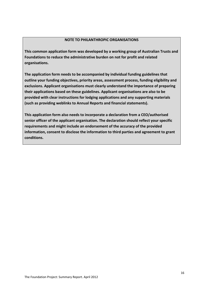# **NOTE TO PHILANTHROPIC ORGANISATIONS**

**This common application form was developed by a working group of Australian Trusts and Foundations to reduce the administrative burden on not for profit and related organisations.** 

**The application form needs to be accompanied by individual funding guidelines that outline your funding objectives, priority areas, assessment process, funding eligibility and exclusions. Applicant organisations must clearly understand the importance of preparing their applications based on these guidelines. Applicant organisations are also to be provided with clear instructions for lodging applications and any supporting materials (such as providing weblinks to Annual Reports and financial statements).** 

**This application form also needs to incorporate a declaration from a CEO/authorised senior officer of the applicant organisation. The declaration should reflect your specific requirements and might include an endorsement of the accuracy of the provided information, consent to disclose the information to third parties and agreement to grant conditions.**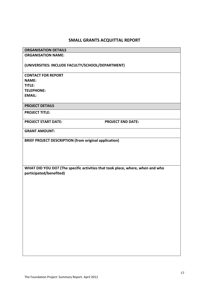# **SMALL GRANTS ACQUITTAL REPORT**

# **ORGANISATION DETAILS**

**ORGANISATION NAME:**

# **(UNIVERSITIES: INCLUDE FACULTY/SCHOOL/DEPARTMENT)**

# **CONTACT FOR REPORT NAME: TITLE: TELEPHONE: EMAIL:**

**PROJECT DETAILS**

**PROJECT TITLE:**

**PROJECT START DATE: PROJECT END DATE:**

**GRANT AMOUNT:**

**BRIEF PROJECT DESCRIPTION (from original application)**

**WHAT DID YOU DO? (The specific activities that took place, where, when and who participated/benefited)**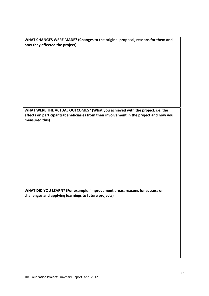| WHAT CHANGES WERE MADE? (Changes to the original proposal, reasons for them and |  |
|---------------------------------------------------------------------------------|--|
| how they affected the project)                                                  |  |

**WHAT WERE THE ACTUAL OUTCOMES? (What you achieved with the project, i.e. the effects on participants/beneficiaries from their involvement in the project and how you measured this)** 

**WHAT DID YOU LEARN? (For example: improvement areas, reasons for success or challenges and applying learnings to future projects)**